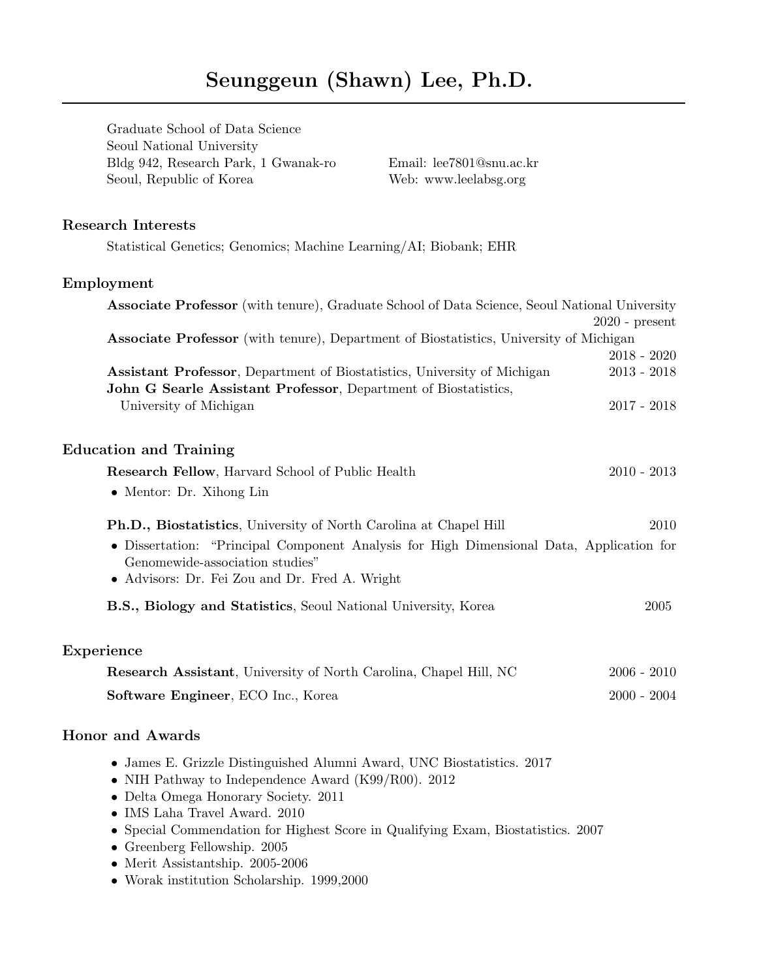Graduate School of Data Science Seoul National University Bldg 942, Research Park, 1 Gwanak-ro Email: [lee7801@snu.ac.kr](mailto:lee7801@snu.ac.kr) Seoul, Republic of Korea Web: [www.leelabsg.org](http://www.leelabsg.org)

### Research Interests

Statistical Genetics; Genomics; Machine Learning/AI; Biobank; EHR

### Employment

| <b>Associate Professor</b> (with tenure), Graduate School of Data Science, Seoul National University |                  |
|------------------------------------------------------------------------------------------------------|------------------|
|                                                                                                      | $2020$ - present |
| <b>Associate Professor</b> (with tenure), Department of Biostatistics, University of Michigan        |                  |
|                                                                                                      | $2018 - 2020$    |
| Assistant Professor, Department of Biostatistics, University of Michigan                             | $2013 - 2018$    |
| John G Searle Assistant Professor, Department of Biostatistics,                                      |                  |
| University of Michigan                                                                               | $2017 - 2018$    |
|                                                                                                      |                  |
| <b>Education and Training</b>                                                                        |                  |
| Research Fellow, Harvard School of Public Health                                                     | $2010 - 2013$    |
|                                                                                                      |                  |
| • Mentor: Dr. Xihong Lin                                                                             |                  |
| Ph.D., Biostatistics, University of North Carolina at Chapel Hill                                    | 2010             |
|                                                                                                      |                  |
| • Dissertation: "Principal Component Analysis for High Dimensional Data, Application for             |                  |
| Genomewide-association studies"                                                                      |                  |
| • Advisors: Dr. Fei Zou and Dr. Fred A. Wright                                                       |                  |
| B.S., Biology and Statistics, Seoul National University, Korea                                       | 2005             |
|                                                                                                      |                  |
| Experience                                                                                           |                  |
| <b>Research Assistant</b> , University of North Carolina, Chapel Hill, NC                            | $2006 - 2010$    |
| Software Engineer, ECO Inc., Korea                                                                   | $2000 - 2004$    |
|                                                                                                      |                  |
| <b>Honor</b> and Awards                                                                              |                  |
| • James E. Grizzle Distinguished Alumni Award, UNC Biostatistics. 2017                               |                  |
| • NIH Pathway to Independence Award (K99/R00). 2012                                                  |                  |
| • Delta Omega Honorary Society. 2011                                                                 |                  |
| $\bullet$ IMS Laha Travel Award. 2010                                                                |                  |
| • Special Commendation for Highest Score in Qualifying Exam, Biostatistics. 2007                     |                  |
| $\sim$ $\sim$ $\sim$ $\sim$ $\sim$                                                                   |                  |

- Greenberg Fellowship. 2005
- Merit Assistantship. 2005-2006
- Worak institution Scholarship. 1999,2000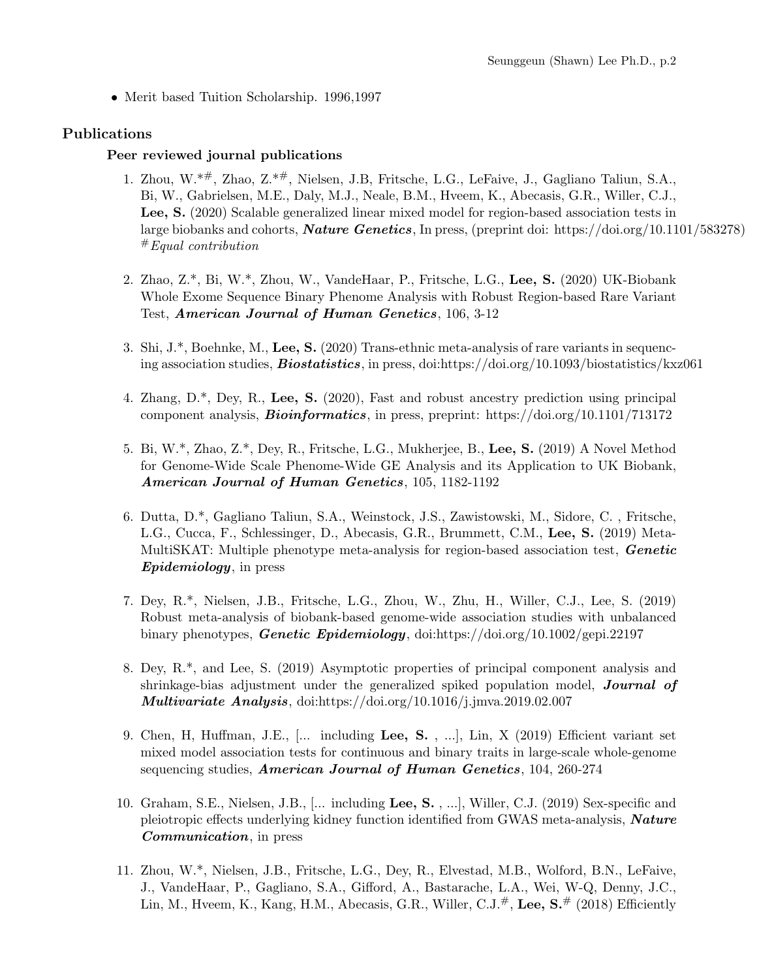• Merit based Tuition Scholarship. 1996,1997

### Publications

#### Peer reviewed journal publications

- 1. Zhou, W.\*#, Zhao, Z.\*#, Nielsen, J.B, Fritsche, L.G., LeFaive, J., Gagliano Taliun, S.A., Bi, W., Gabrielsen, M.E., Daly, M.J., Neale, B.M., Hveem, K., Abecasis, G.R., Willer, C.J., Lee, S. (2020) Scalable generalized linear mixed model for region-based association tests in large biobanks and cohorts, Nature Genetics, In press, (preprint doi: https://doi.org/10.1101/583278)  $#$ Equal contribution
- 2. Zhao, Z.\*, Bi, W.\*, Zhou, W., VandeHaar, P., Fritsche, L.G., Lee, S. (2020) UK-Biobank Whole Exome Sequence Binary Phenome Analysis with Robust Region-based Rare Variant Test, American Journal of Human Genetics, 106, 3-12
- 3. Shi, J.\*, Boehnke, M., Lee, S. (2020) Trans-ethnic meta-analysis of rare variants in sequencing association studies, **Biostatistics**, in press, doi:https://doi.org/10.1093/biostatistics/kxz061
- 4. Zhang, D.\*, Dey, R., Lee, S. (2020), Fast and robust ancestry prediction using principal component analysis, **Bioinformatics**, in press, preprint: https://doi.org/10.1101/713172
- 5. Bi, W.\*, Zhao, Z.\*, Dey, R., Fritsche, L.G., Mukherjee, B., Lee, S. (2019) A Novel Method for Genome-Wide Scale Phenome-Wide GE Analysis and its Application to UK Biobank, American Journal of Human Genetics, 105, 1182-1192
- 6. Dutta, D.\*, Gagliano Taliun, S.A., Weinstock, J.S., Zawistowski, M., Sidore, C. , Fritsche, L.G., Cucca, F., Schlessinger, D., Abecasis, G.R., Brummett, C.M., Lee, S. (2019) Meta-MultiSKAT: Multiple phenotype meta-analysis for region-based association test, **Genetic** Epidemiology, in press
- 7. Dey, R.\*, Nielsen, J.B., Fritsche, L.G., Zhou, W., Zhu, H., Willer, C.J., Lee, S. (2019) Robust meta-analysis of biobank-based genome-wide association studies with unbalanced binary phenotypes, Genetic Epidemiology, doi:https://doi.org/10.1002/gepi.22197
- 8. Dey, R.\*, and Lee, S. (2019) Asymptotic properties of principal component analysis and shrinkage-bias adjustment under the generalized spiked population model, **Journal of Multivariate Analysis,** doi:https://doi.org/10.1016/j.jmva.2019.02.007
- 9. Chen, H, Huffman, J.E., [... including Lee, S. , ...], Lin, X (2019) Efficient variant set mixed model association tests for continuous and binary traits in large-scale whole-genome sequencing studies, American Journal of Human Genetics, 104, 260-274
- 10. Graham, S.E., Nielsen, J.B., [... including Lee, S. , ...], Willer, C.J. (2019) Sex-specific and pleiotropic effects underlying kidney function identified from GWAS meta-analysis, Nature Communication, in press
- 11. Zhou, W.\*, Nielsen, J.B., Fritsche, L.G., Dey, R., Elvestad, M.B., Wolford, B.N., LeFaive, J., VandeHaar, P., Gagliano, S.A., Gifford, A., Bastarache, L.A., Wei, W-Q, Denny, J.C., Lin, M., Hveem, K., Kang, H.M., Abecasis, G.R., Willer, C.J. $\overset{\#}{\tau}$ , Lee, S. $\overset{\#}{\tau}$  (2018) Efficiently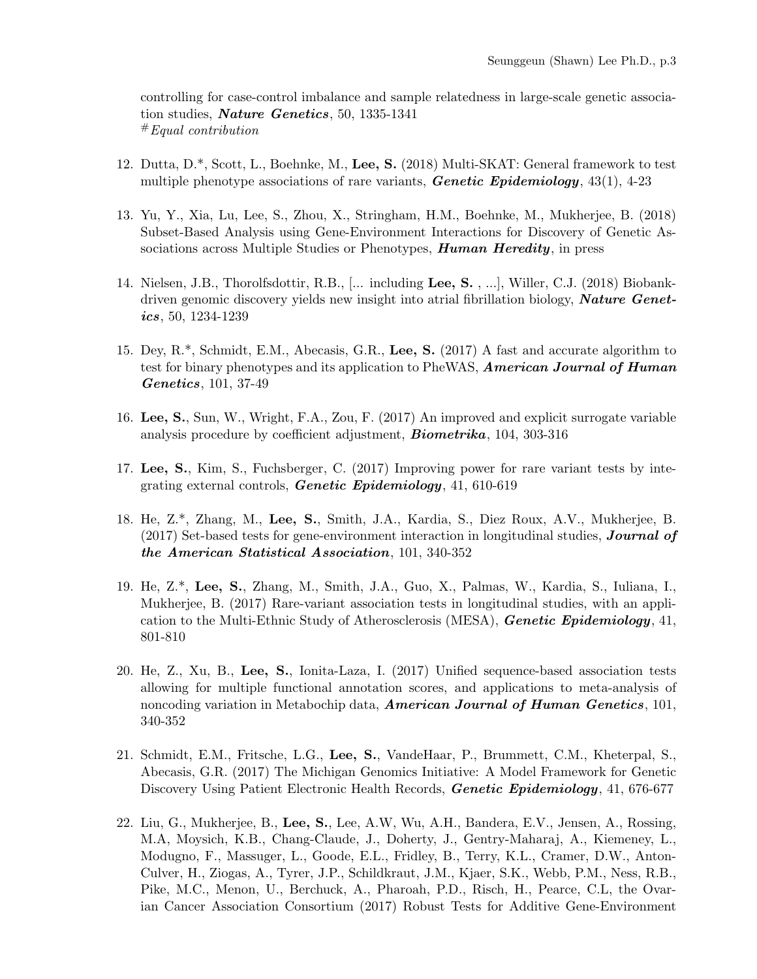controlling for case-control imbalance and sample relatedness in large-scale genetic association studies, Nature Genetics, 50, 1335-1341 #Equal contribution

- 12. Dutta, D.\*, Scott, L., Boehnke, M., Lee, S. (2018) Multi-SKAT: General framework to test multiple phenotype associations of rare variants, **Genetic Epidemiology**,  $43(1)$ ,  $4-23$
- 13. Yu, Y., Xia, Lu, Lee, S., Zhou, X., Stringham, H.M., Boehnke, M., Mukherjee, B. (2018) Subset-Based Analysis using Gene-Environment Interactions for Discovery of Genetic Associations across Multiple Studies or Phenotypes, **Human Heredity**, in press
- 14. Nielsen, J.B., Thorolfsdottir, R.B., [... including Lee, S. , ...], Willer, C.J. (2018) Biobankdriven genomic discovery yields new insight into atrial fibrillation biology, **Nature Genet**ics, 50, 1234-1239
- 15. Dey, R.\*, Schmidt, E.M., Abecasis, G.R., Lee, S. (2017) A fast and accurate algorithm to test for binary phenotypes and its application to PheWAS, **American Journal of Human** Genetics, 101, 37-49
- 16. Lee, S., Sun, W., Wright, F.A., Zou, F. (2017) An improved and explicit surrogate variable analysis procedure by coefficient adjustment, Biometrika, 104, 303-316
- 17. Lee, S., Kim, S., Fuchsberger, C. (2017) Improving power for rare variant tests by integrating external controls, **Genetic Epidemiology**, 41, 610-619
- 18. He, Z.\*, Zhang, M., Lee, S., Smith, J.A., Kardia, S., Diez Roux, A.V., Mukherjee, B. (2017) Set-based tests for gene-environment interaction in longitudinal studies, **Journal of** the American Statistical Association, 101, 340-352
- 19. He, Z.\*, Lee, S., Zhang, M., Smith, J.A., Guo, X., Palmas, W., Kardia, S., Iuliana, I., Mukherjee, B. (2017) Rare-variant association tests in longitudinal studies, with an application to the Multi-Ethnic Study of Atherosclerosis (MESA), *Genetic Epidemiology*, 41, 801-810
- 20. He, Z., Xu, B., Lee, S., Ionita-Laza, I. (2017) Unified sequence-based association tests allowing for multiple functional annotation scores, and applications to meta-analysis of noncoding variation in Metabochip data, **American Journal of Human Genetics**, 101, 340-352
- 21. Schmidt, E.M., Fritsche, L.G., Lee, S., VandeHaar, P., Brummett, C.M., Kheterpal, S., Abecasis, G.R. (2017) The Michigan Genomics Initiative: A Model Framework for Genetic Discovery Using Patient Electronic Health Records, Genetic Epidemiology, 41, 676-677
- 22. Liu, G., Mukherjee, B., Lee, S., Lee, A.W, Wu, A.H., Bandera, E.V., Jensen, A., Rossing, M.A, Moysich, K.B., Chang-Claude, J., Doherty, J., Gentry-Maharaj, A., Kiemeney, L., Modugno, F., Massuger, L., Goode, E.L., Fridley, B., Terry, K.L., Cramer, D.W., Anton-Culver, H., Ziogas, A., Tyrer, J.P., Schildkraut, J.M., Kjaer, S.K., Webb, P.M., Ness, R.B., Pike, M.C., Menon, U., Berchuck, A., Pharoah, P.D., Risch, H., Pearce, C.L, the Ovarian Cancer Association Consortium (2017) Robust Tests for Additive Gene-Environment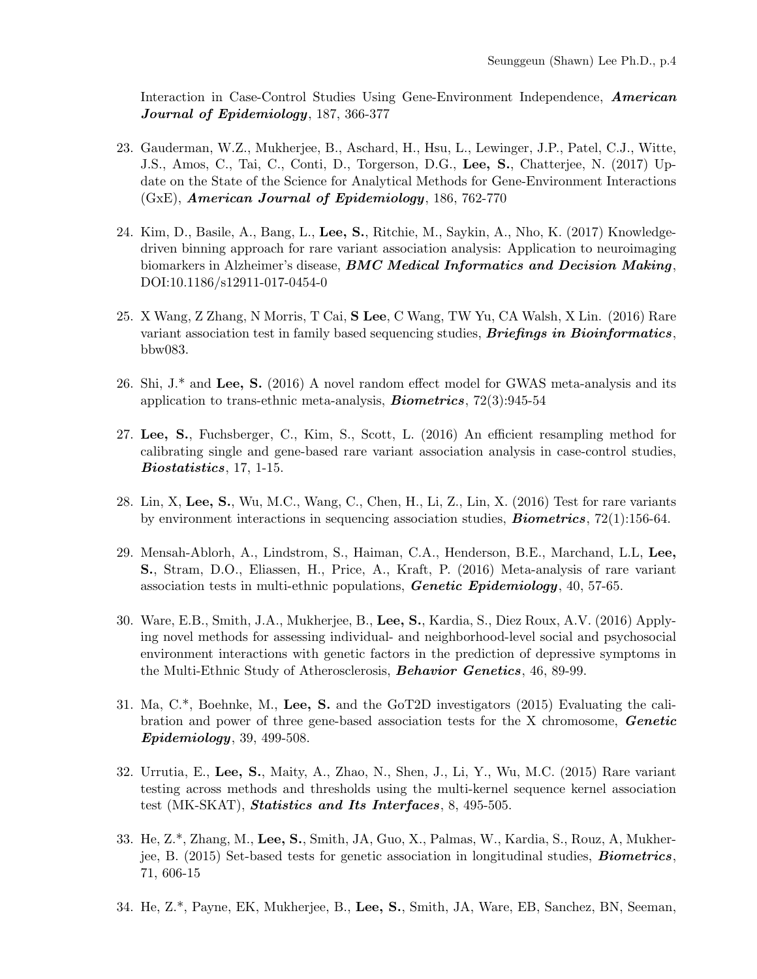Interaction in Case-Control Studies Using Gene-Environment Independence, American Journal of Epidemiology, 187, 366-377

- 23. Gauderman, W.Z., Mukherjee, B., Aschard, H., Hsu, L., Lewinger, J.P., Patel, C.J., Witte, J.S., Amos, C., Tai, C., Conti, D., Torgerson, D.G., Lee, S., Chatterjee, N. (2017) Update on the State of the Science for Analytical Methods for Gene-Environment Interactions (GxE), American Journal of Epidemiology, 186, 762-770
- 24. Kim, D., Basile, A., Bang, L., Lee, S., Ritchie, M., Saykin, A., Nho, K. (2017) Knowledgedriven binning approach for rare variant association analysis: Application to neuroimaging biomarkers in Alzheimer's disease, **BMC Medical Informatics and Decision Making**, DOI:10.1186/s12911-017-0454-0
- 25. X Wang, Z Zhang, N Morris, T Cai, S Lee, C Wang, TW Yu, CA Walsh, X Lin. (2016) Rare variant association test in family based sequencing studies, **Briefings in Bioinformatics**, bbw083.
- 26. Shi, J.\* and Lee, S. (2016) A novel random effect model for GWAS meta-analysis and its application to trans-ethnic meta-analysis, Biometrics, 72(3):945-54
- 27. Lee, S., Fuchsberger, C., Kim, S., Scott, L. (2016) An efficient resampling method for calibrating single and gene-based rare variant association analysis in case-control studies, Biostatistics, 17, 1-15.
- 28. Lin, X, Lee, S., Wu, M.C., Wang, C., Chen, H., Li, Z., Lin, X. (2016) Test for rare variants by environment interactions in sequencing association studies,  $Biometrics$ ,  $72(1):156-64$ .
- 29. Mensah-Ablorh, A., Lindstrom, S., Haiman, C.A., Henderson, B.E., Marchand, L.L, Lee, S., Stram, D.O., Eliassen, H., Price, A., Kraft, P. (2016) Meta-analysis of rare variant association tests in multi-ethnic populations, **Genetic Epidemiology**,  $40, 57-65$ .
- 30. Ware, E.B., Smith, J.A., Mukherjee, B., Lee, S., Kardia, S., Diez Roux, A.V. (2016) Applying novel methods for assessing individual- and neighborhood-level social and psychosocial environment interactions with genetic factors in the prediction of depressive symptoms in the Multi-Ethnic Study of Atherosclerosis, Behavior Genetics, 46, 89-99.
- 31. Ma, C.\*, Boehnke, M., Lee, S. and the GoT2D investigators (2015) Evaluating the calibration and power of three gene-based association tests for the X chromosome, Genetic Epidemiology, 39, 499-508.
- 32. Urrutia, E., Lee, S., Maity, A., Zhao, N., Shen, J., Li, Y., Wu, M.C. (2015) Rare variant testing across methods and thresholds using the multi-kernel sequence kernel association test (MK-SKAT), *Statistics and Its Interfaces*, 8, 495-505.
- 33. He, Z.\*, Zhang, M., Lee, S., Smith, JA, Guo, X., Palmas, W., Kardia, S., Rouz, A, Mukherjee, B. (2015) Set-based tests for genetic association in longitudinal studies, Biometrics, 71, 606-15
- 34. He, Z.\*, Payne, EK, Mukherjee, B., Lee, S., Smith, JA, Ware, EB, Sanchez, BN, Seeman,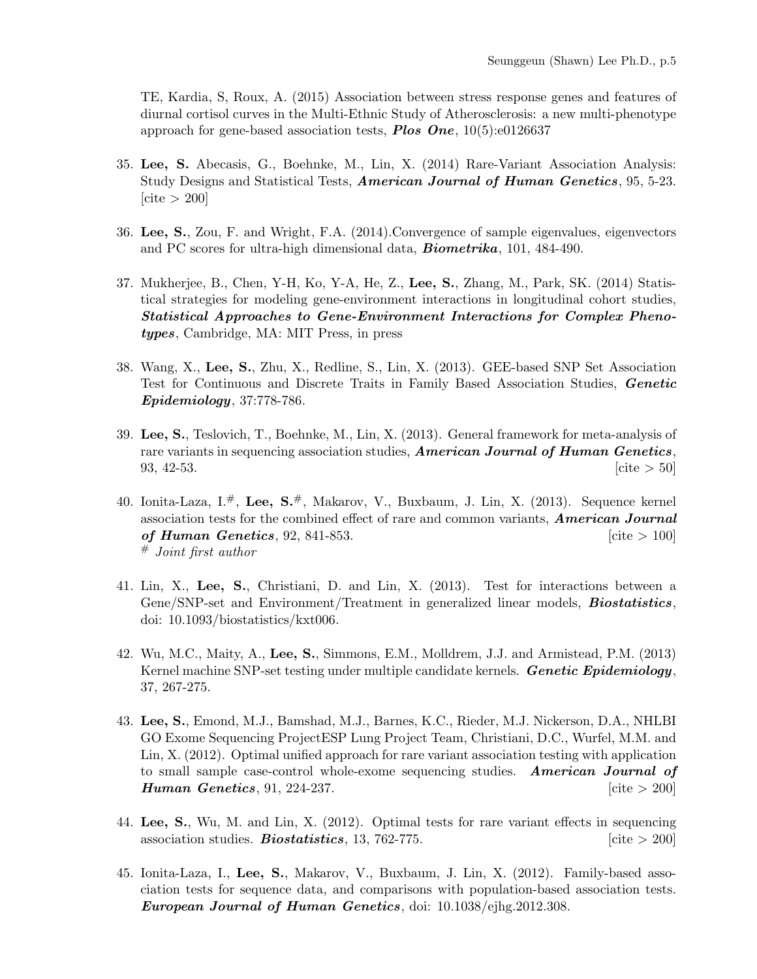TE, Kardia, S, Roux, A. (2015) Association between stress response genes and features of diurnal cortisol curves in the Multi-Ethnic Study of Atherosclerosis: a new multi-phenotype approach for gene-based association tests, **Plos One**,  $10(5):e0126637$ 

- 35. Lee, S. Abecasis, G., Boehnke, M., Lin, X. (2014) Rare-Variant Association Analysis: Study Designs and Statistical Tests, American Journal of Human Genetics, 95, 5-23.  $[cite > 200]$
- 36. Lee, S., Zou, F. and Wright, F.A. (2014).Convergence of sample eigenvalues, eigenvectors and PC scores for ultra-high dimensional data, **Biometrika**, 101, 484-490.
- 37. Mukherjee, B., Chen, Y-H, Ko, Y-A, He, Z., Lee, S., Zhang, M., Park, SK. (2014) Statistical strategies for modeling gene-environment interactions in longitudinal cohort studies, Statistical Approaches to Gene-Environment Interactions for Complex Phenotypes, Cambridge, MA: MIT Press, in press
- 38. Wang, X., Lee, S., Zhu, X., Redline, S., Lin, X. (2013). GEE-based SNP Set Association Test for Continuous and Discrete Traits in Family Based Association Studies, Genetic Epidemiology, 37:778-786.
- 39. Lee, S., Teslovich, T., Boehnke, M., Lin, X. (2013). General framework for meta-analysis of rare variants in sequencing association studies, **American Journal of Human Genetics**, 93, 42-53.  $[\text{cite} > 50]$
- 40. Ionita-Laza, I.<sup>#</sup>, Lee, S.<sup>#</sup>, Makarov, V., Buxbaum, J. Lin, X. (2013). Sequence kernel association tests for the combined effect of rare and common variants, **American Journal** of Human Genetics, 92, 841-853.  $[\text{cite} > 100]$ # Joint first author
- 41. Lin, X., Lee, S., Christiani, D. and Lin, X. (2013). Test for interactions between a Gene/SNP-set and Environment/Treatment in generalized linear models, **Biostatistics**, doi: 10.1093/biostatistics/kxt006.
- 42. Wu, M.C., Maity, A., Lee, S., Simmons, E.M., Molldrem, J.J. and Armistead, P.M. (2013) Kernel machine SNP-set testing under multiple candidate kernels. **Genetic Epidemiology**, 37, 267-275.
- 43. Lee, S., Emond, M.J., Bamshad, M.J., Barnes, K.C., Rieder, M.J. Nickerson, D.A., NHLBI GO Exome Sequencing ProjectESP Lung Project Team, Christiani, D.C., Wurfel, M.M. and Lin, X. (2012). Optimal unified approach for rare variant association testing with application to small sample case-control whole-exome sequencing studies. American Journal of **Human Genetics**, 91, 224-237. [cite > 200]
- 44. Lee, S., Wu, M. and Lin, X. (2012). Optimal tests for rare variant effects in sequencing association studies. **Biostatistics**, 13, 762-775.  $\left[cite > 200\right]$
- 45. Ionita-Laza, I., Lee, S., Makarov, V., Buxbaum, J. Lin, X. (2012). Family-based association tests for sequence data, and comparisons with population-based association tests. European Journal of Human Genetics, doi:  $10.1038/e$ ihg.2012.308.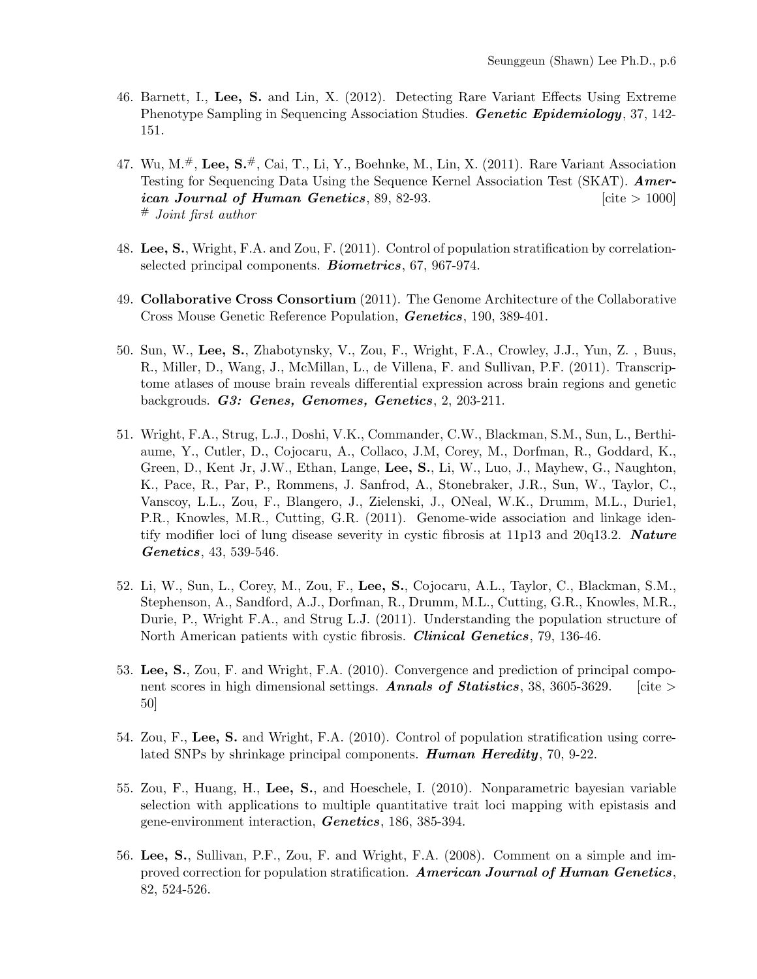- 46. Barnett, I., Lee, S. and Lin, X. (2012). Detecting Rare Variant Effects Using Extreme Phenotype Sampling in Sequencing Association Studies. **Genetic Epidemiology**, 37, 142-151.
- 47. Wu, M.<sup>#</sup>, Lee, S.<sup>#</sup>, Cai, T., Li, Y., Boehnke, M., Lin, X. (2011). Rare Variant Association Testing for Sequencing Data Using the Sequence Kernel Association Test (SKAT). **Amer**ican Journal of Human Genetics,  $89, 82-93.$  [cite  $> 1000$ ] # Joint first author
- 48. Lee, S., Wright, F.A. and Zou, F. (2011). Control of population stratification by correlationselected principal components. **Biometrics**, 67, 967-974.
- 49. Collaborative Cross Consortium (2011). The Genome Architecture of the Collaborative Cross Mouse Genetic Reference Population, Genetics, 190, 389-401.
- 50. Sun, W., Lee, S., Zhabotynsky, V., Zou, F., Wright, F.A., Crowley, J.J., Yun, Z. , Buus, R., Miller, D., Wang, J., McMillan, L., de Villena, F. and Sullivan, P.F. (2011). Transcriptome atlases of mouse brain reveals differential expression across brain regions and genetic backgrouds. G3: Genes, Genomes, Genetics, 2, 203-211.
- 51. Wright, F.A., Strug, L.J., Doshi, V.K., Commander, C.W., Blackman, S.M., Sun, L., Berthiaume, Y., Cutler, D., Cojocaru, A., Collaco, J.M, Corey, M., Dorfman, R., Goddard, K., Green, D., Kent Jr, J.W., Ethan, Lange, Lee, S., Li, W., Luo, J., Mayhew, G., Naughton, K., Pace, R., Par, P., Rommens, J. Sanfrod, A., Stonebraker, J.R., Sun, W., Taylor, C., Vanscoy, L.L., Zou, F., Blangero, J., Zielenski, J., ONeal, W.K., Drumm, M.L., Durie1, P.R., Knowles, M.R., Cutting, G.R. (2011). Genome-wide association and linkage identify modifier loci of lung disease severity in cystic fibrosis at 11p13 and 20q13.2. Nature Genetics, 43, 539-546.
- 52. Li, W., Sun, L., Corey, M., Zou, F., Lee, S., Cojocaru, A.L., Taylor, C., Blackman, S.M., Stephenson, A., Sandford, A.J., Dorfman, R., Drumm, M.L., Cutting, G.R., Knowles, M.R., Durie, P., Wright F.A., and Strug L.J. (2011). Understanding the population structure of North American patients with cystic fibrosis. *Clinical Genetics*, 79, 136-46.
- 53. Lee, S., Zou, F. and Wright, F.A. (2010). Convergence and prediction of principal component scores in high dimensional settings. **Annals of Statistics**, 38, 3605-3629. [cite > 50]
- 54. Zou, F., Lee, S. and Wright, F.A. (2010). Control of population stratification using correlated SNPs by shrinkage principal components. **Human Heredity**, 70, 9-22.
- 55. Zou, F., Huang, H., Lee, S., and Hoeschele, I. (2010). Nonparametric bayesian variable selection with applications to multiple quantitative trait loci mapping with epistasis and gene-environment interaction, Genetics, 186, 385-394.
- 56. Lee, S., Sullivan, P.F., Zou, F. and Wright, F.A. (2008). Comment on a simple and improved correction for population stratification. American Journal of Human Genetics, 82, 524-526.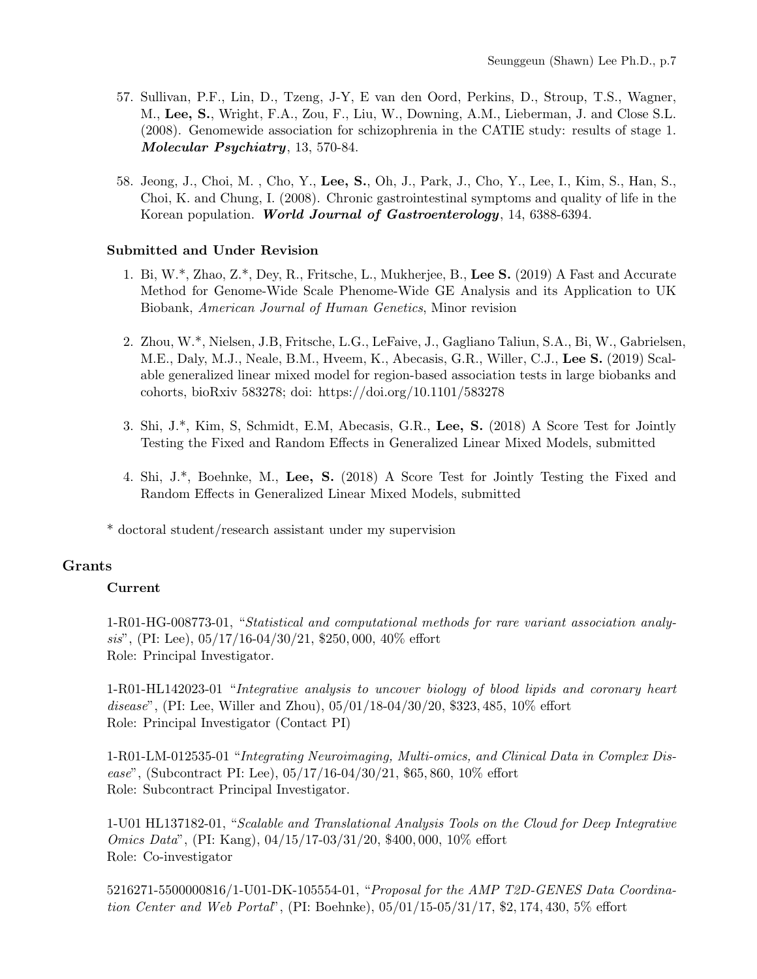- 57. Sullivan, P.F., Lin, D., Tzeng, J-Y, E van den Oord, Perkins, D., Stroup, T.S., Wagner, M., Lee, S., Wright, F.A., Zou, F., Liu, W., Downing, A.M., Lieberman, J. and Close S.L. (2008). Genomewide association for schizophrenia in the CATIE study: results of stage 1. Molecular Psychiatry, 13, 570-84.
- 58. Jeong, J., Choi, M. , Cho, Y., Lee, S., Oh, J., Park, J., Cho, Y., Lee, I., Kim, S., Han, S., Choi, K. and Chung, I. (2008). Chronic gastrointestinal symptoms and quality of life in the Korean population. World Journal of Gastroenterology, 14, 6388-6394.

#### Submitted and Under Revision

- 1. Bi, W.\*, Zhao, Z.\*, Dey, R., Fritsche, L., Mukherjee, B., Lee S. (2019) A Fast and Accurate Method for Genome-Wide Scale Phenome-Wide GE Analysis and its Application to UK Biobank, American Journal of Human Genetics, Minor revision
- 2. Zhou, W.\*, Nielsen, J.B, Fritsche, L.G., LeFaive, J., Gagliano Taliun, S.A., Bi, W., Gabrielsen, M.E., Daly, M.J., Neale, B.M., Hveem, K., Abecasis, G.R., Willer, C.J., Lee S. (2019) Scalable generalized linear mixed model for region-based association tests in large biobanks and cohorts, bioRxiv 583278; doi: https://doi.org/10.1101/583278
- 3. Shi, J.\*, Kim, S, Schmidt, E.M, Abecasis, G.R., Lee, S. (2018) A Score Test for Jointly Testing the Fixed and Random Effects in Generalized Linear Mixed Models, submitted
- 4. Shi, J.\*, Boehnke, M., Lee, S. (2018) A Score Test for Jointly Testing the Fixed and Random Effects in Generalized Linear Mixed Models, submitted

\* doctoral student/research assistant under my supervision

#### Grants

#### Current

1-R01-HG-008773-01, "Statistical and computational methods for rare variant association analysis", (PI: Lee),  $05/17/16-04/30/21$ , \$250, 000, 40% effort Role: Principal Investigator.

1-R01-HL142023-01 "Integrative analysis to uncover biology of blood lipids and coronary heart disease", (PI: Lee, Willer and Zhou),  $05/01/18-04/30/20$ , \$323, 485, 10% effort Role: Principal Investigator (Contact PI)

1-R01-LM-012535-01 "Integrating Neuroimaging, Multi-omics, and Clinical Data in Complex Disease", (Subcontract PI: Lee),  $05/17/16-04/30/21$ , \$65, 860, 10% effort Role: Subcontract Principal Investigator.

1-U01 HL137182-01, "Scalable and Translational Analysis Tools on the Cloud for Deep Integrative Omics Data", (PI: Kang), 04/15/17-03/31/20, \$400, 000, 10% effort Role: Co-investigator

5216271-5500000816/1-U01-DK-105554-01, "Proposal for the AMP T2D-GENES Data Coordination Center and Web Portal", (PI: Boehnke), 05/01/15-05/31/17, \$2, 174, 430, 5% effort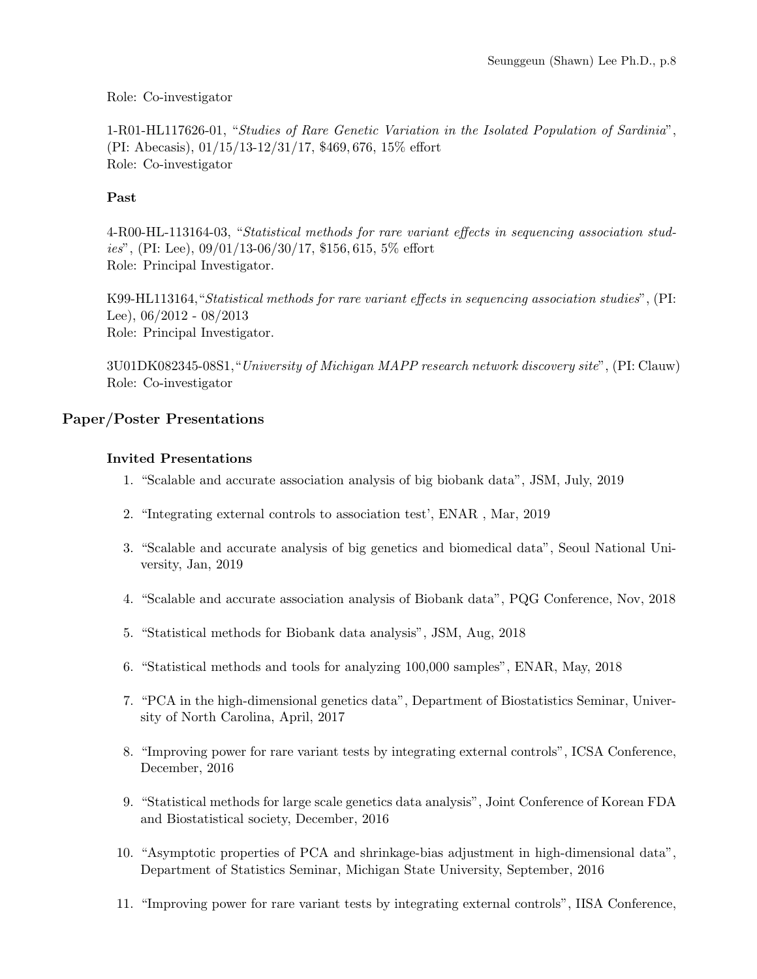#### Role: Co-investigator

1-R01-HL117626-01, "Studies of Rare Genetic Variation in the Isolated Population of Sardinia", (PI: Abecasis), 01/15/13-12/31/17, \$469, 676, 15% effort Role: Co-investigator

### Past

4-R00-HL-113164-03, "Statistical methods for rare variant effects in sequencing association studies", (PI: Lee),  $09/01/13-06/30/17$ , \$156, 615, 5% effort Role: Principal Investigator.

K99-HL113164,"Statistical methods for rare variant effects in sequencing association studies", (PI: Lee), 06/2012 - 08/2013 Role: Principal Investigator.

3U01DK082345-08S1,"University of Michigan MAPP research network discovery site", (PI: Clauw) Role: Co-investigator

### Paper/Poster Presentations

#### Invited Presentations

- 1. "Scalable and accurate association analysis of big biobank data", JSM, July, 2019
- 2. "Integrating external controls to association test', ENAR , Mar, 2019
- 3. "Scalable and accurate analysis of big genetics and biomedical data", Seoul National University, Jan, 2019
- 4. "Scalable and accurate association analysis of Biobank data", PQG Conference, Nov, 2018
- 5. "Statistical methods for Biobank data analysis", JSM, Aug, 2018
- 6. "Statistical methods and tools for analyzing 100,000 samples", ENAR, May, 2018
- 7. "PCA in the high-dimensional genetics data", Department of Biostatistics Seminar, University of North Carolina, April, 2017
- 8. "Improving power for rare variant tests by integrating external controls", ICSA Conference, December, 2016
- 9. "Statistical methods for large scale genetics data analysis", Joint Conference of Korean FDA and Biostatistical society, December, 2016
- 10. "Asymptotic properties of PCA and shrinkage-bias adjustment in high-dimensional data", Department of Statistics Seminar, Michigan State University, September, 2016
- 11. "Improving power for rare variant tests by integrating external controls", IISA Conference,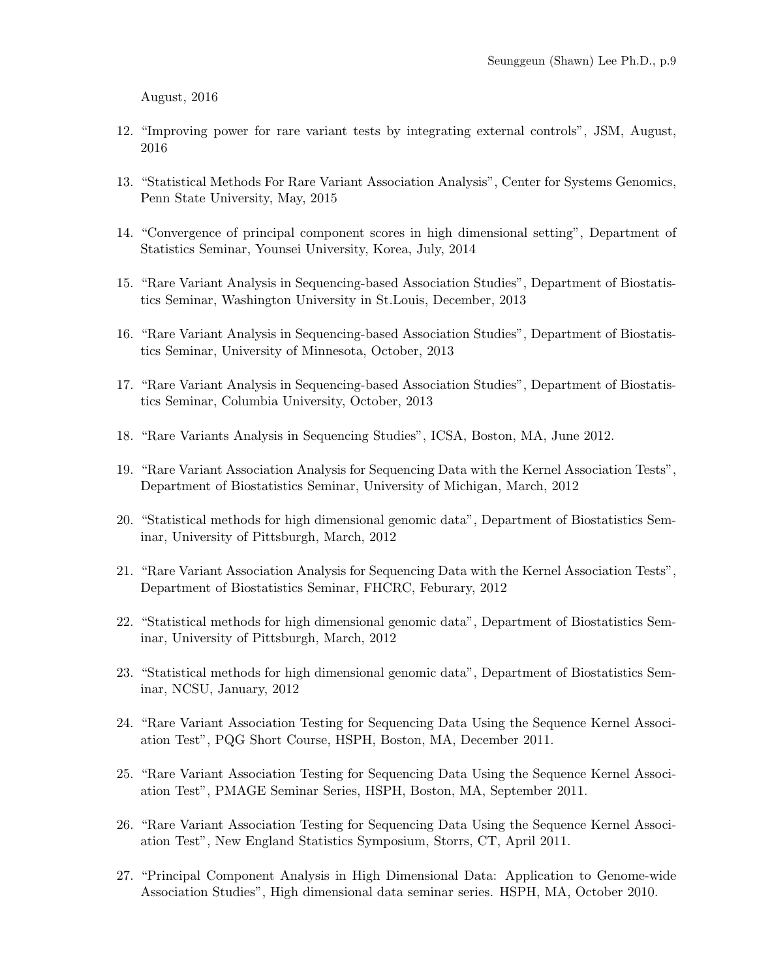August, 2016

- 12. "Improving power for rare variant tests by integrating external controls", JSM, August, 2016
- 13. "Statistical Methods For Rare Variant Association Analysis", Center for Systems Genomics, Penn State University, May, 2015
- 14. "Convergence of principal component scores in high dimensional setting", Department of Statistics Seminar, Younsei University, Korea, July, 2014
- 15. "Rare Variant Analysis in Sequencing-based Association Studies", Department of Biostatistics Seminar, Washington University in St.Louis, December, 2013
- 16. "Rare Variant Analysis in Sequencing-based Association Studies", Department of Biostatistics Seminar, University of Minnesota, October, 2013
- 17. "Rare Variant Analysis in Sequencing-based Association Studies", Department of Biostatistics Seminar, Columbia University, October, 2013
- 18. "Rare Variants Analysis in Sequencing Studies", ICSA, Boston, MA, June 2012.
- 19. "Rare Variant Association Analysis for Sequencing Data with the Kernel Association Tests", Department of Biostatistics Seminar, University of Michigan, March, 2012
- 20. "Statistical methods for high dimensional genomic data", Department of Biostatistics Seminar, University of Pittsburgh, March, 2012
- 21. "Rare Variant Association Analysis for Sequencing Data with the Kernel Association Tests", Department of Biostatistics Seminar, FHCRC, Feburary, 2012
- 22. "Statistical methods for high dimensional genomic data", Department of Biostatistics Seminar, University of Pittsburgh, March, 2012
- 23. "Statistical methods for high dimensional genomic data", Department of Biostatistics Seminar, NCSU, January, 2012
- 24. "Rare Variant Association Testing for Sequencing Data Using the Sequence Kernel Association Test", PQG Short Course, HSPH, Boston, MA, December 2011.
- 25. "Rare Variant Association Testing for Sequencing Data Using the Sequence Kernel Association Test", PMAGE Seminar Series, HSPH, Boston, MA, September 2011.
- 26. "Rare Variant Association Testing for Sequencing Data Using the Sequence Kernel Association Test", New England Statistics Symposium, Storrs, CT, April 2011.
- 27. "Principal Component Analysis in High Dimensional Data: Application to Genome-wide Association Studies", High dimensional data seminar series. HSPH, MA, October 2010.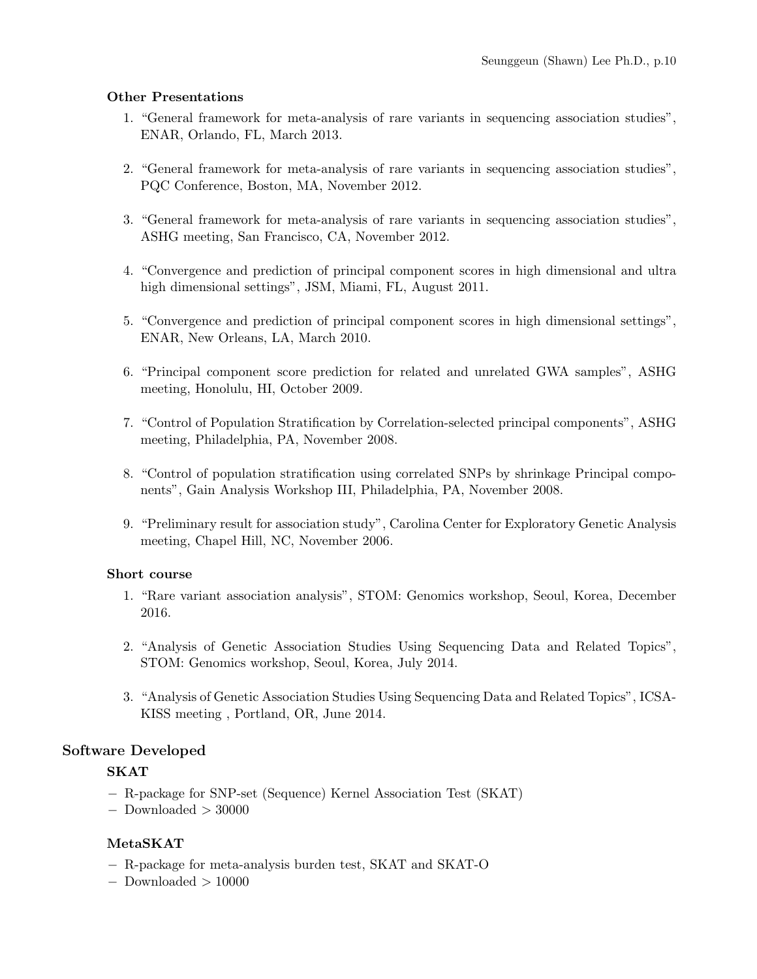#### Other Presentations

- 1. "General framework for meta-analysis of rare variants in sequencing association studies", ENAR, Orlando, FL, March 2013.
- 2. "General framework for meta-analysis of rare variants in sequencing association studies", PQC Conference, Boston, MA, November 2012.
- 3. "General framework for meta-analysis of rare variants in sequencing association studies", ASHG meeting, San Francisco, CA, November 2012.
- 4. "Convergence and prediction of principal component scores in high dimensional and ultra high dimensional settings", JSM, Miami, FL, August 2011.
- 5. "Convergence and prediction of principal component scores in high dimensional settings", ENAR, New Orleans, LA, March 2010.
- 6. "Principal component score prediction for related and unrelated GWA samples", ASHG meeting, Honolulu, HI, October 2009.
- 7. "Control of Population Stratification by Correlation-selected principal components", ASHG meeting, Philadelphia, PA, November 2008.
- 8. "Control of population stratification using correlated SNPs by shrinkage Principal components", Gain Analysis Workshop III, Philadelphia, PA, November 2008.
- 9. "Preliminary result for association study", Carolina Center for Exploratory Genetic Analysis meeting, Chapel Hill, NC, November 2006.

#### Short course

- 1. "Rare variant association analysis", STOM: Genomics workshop, Seoul, Korea, December 2016.
- 2. "Analysis of Genetic Association Studies Using Sequencing Data and Related Topics", STOM: Genomics workshop, Seoul, Korea, July 2014.
- 3. "Analysis of Genetic Association Studies Using Sequencing Data and Related Topics", ICSA-KISS meeting , Portland, OR, June 2014.

## Software Developed

#### SKAT

- − R-package for SNP-set (Sequence) Kernel Association Test (SKAT)
- − Downloaded > 30000

#### MetaSKAT

- − R-package for meta-analysis burden test, SKAT and SKAT-O
- − Downloaded > 10000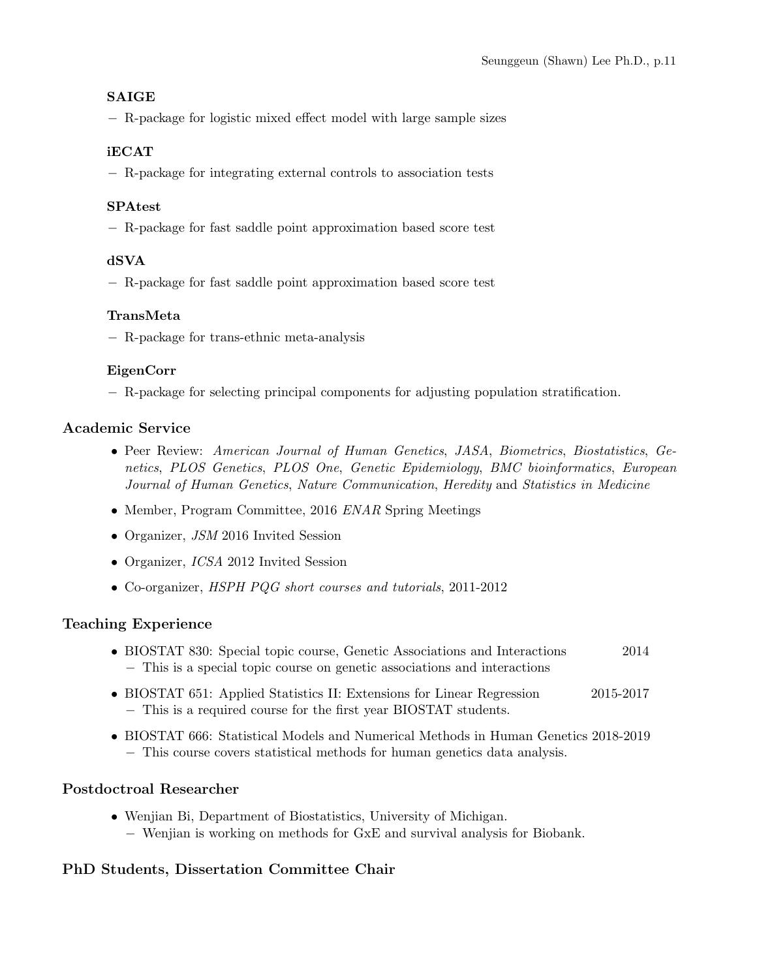### SAIGE

− R-package for logistic mixed effect model with large sample sizes

### iECAT

− R-package for integrating external controls to association tests

### SPAtest

− R-package for fast saddle point approximation based score test

### dSVA

− R-package for fast saddle point approximation based score test

### TransMeta

− R-package for trans-ethnic meta-analysis

### EigenCorr

− R-package for selecting principal components for adjusting population stratification.

## Academic Service

- Peer Review: American Journal of Human Genetics, JASA, Biometrics, Biostatistics, Genetics, PLOS Genetics, PLOS One, Genetic Epidemiology, BMC bioinformatics, European Journal of Human Genetics, Nature Communication, Heredity and Statistics in Medicine
- Member, Program Committee, 2016 ENAR Spring Meetings
- Organizer, JSM 2016 Invited Session
- Organizer, *ICSA* 2012 Invited Session
- Co-organizer, HSPH PQG short courses and tutorials, 2011-2012

## Teaching Experience

- BIOSTAT 830: Special topic course, Genetic Associations and Interactions 2014 − This is a special topic course on genetic associations and interactions
- BIOSTAT 651: Applied Statistics II: Extensions for Linear Regression 2015-2017 − This is a required course for the first year BIOSTAT students.
- BIOSTAT 666: Statistical Models and Numerical Methods in Human Genetics 2018-2019 − This course covers statistical methods for human genetics data analysis.

## Postdoctroal Researcher

• Wenjian Bi, Department of Biostatistics, University of Michigan. − Wenjian is working on methods for GxE and survival analysis for Biobank.

# PhD Students, Dissertation Committee Chair